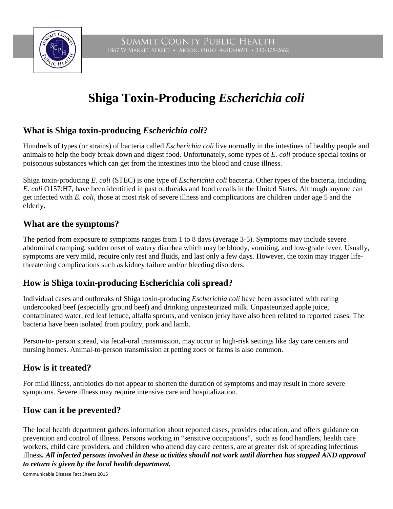

# **Shiga Toxin-Producing** *Escherichia coli*

### **What is Shiga toxin-producing** *Escherichia coli***?**

Hundreds of types (or strains) of bacteria called *Escherichia coli* live normally in the intestines of healthy people and animals to help the body break down and digest food. Unfortunately, some types of *E. coli* produce special toxins or poisonous substances which can get from the intestines into the blood and cause illness.

Shiga toxin-producing *E. coli* (STEC) is one type of *Escherichia coli* bacteria. Other types of the bacteria, including *E. coli* O157:H7, have been identified in past outbreaks and food recalls in the United States. Although anyone can get infected with *E. coli*, those at most risk of severe illness and complications are children under age 5 and the elderly.

#### **What are the symptoms?**

The period from exposure to symptoms ranges from 1 to 8 days (average 3-5). Symptoms may include severe abdominal cramping, sudden onset of watery diarrhea which may be bloody, vomiting, and low-grade fever. Usually, symptoms are very mild, require only rest and fluids, and last only a few days. However, the toxin may trigger lifethreatening complications such as kidney failure and/or bleeding disorders.

#### **How is Shiga toxin-producing Escherichia coli spread?**

Individual cases and outbreaks of Shiga toxin-producing *Escherichia coli* have been associated with eating undercooked beef (especially ground beef) and drinking unpasteurized milk. Unpasteurized apple juice, contaminated water, red leaf lettuce, alfalfa sprouts, and venison jerky have also been related to reported cases. The bacteria have been isolated from poultry, pork and lamb.

Person-to- person spread, via fecal-oral transmission, may occur in high-risk settings like day care centers and nursing homes. Animal-to-person transmission at petting zoos or farms is also common.

#### **How is it treated?**

For mild illness, antibiotics do not appear to shorten the duration of symptoms and may result in more severe symptoms. Severe illness may require intensive care and hospitalization.

#### **How can it be prevented?**

The local health department gathers information about reported cases, provides education, and offers guidance on prevention and control of illness. Persons working in "sensitive occupations", such as food handlers, health care workers, child care providers, and children who attend day care centers, are at greater risk of spreading infectious illness**.** *All infected persons involved in these activities should not work until diarrhea has stopped AND approval to return is given by the local health department.* 

Communicable Disease Fact Sheets 2015